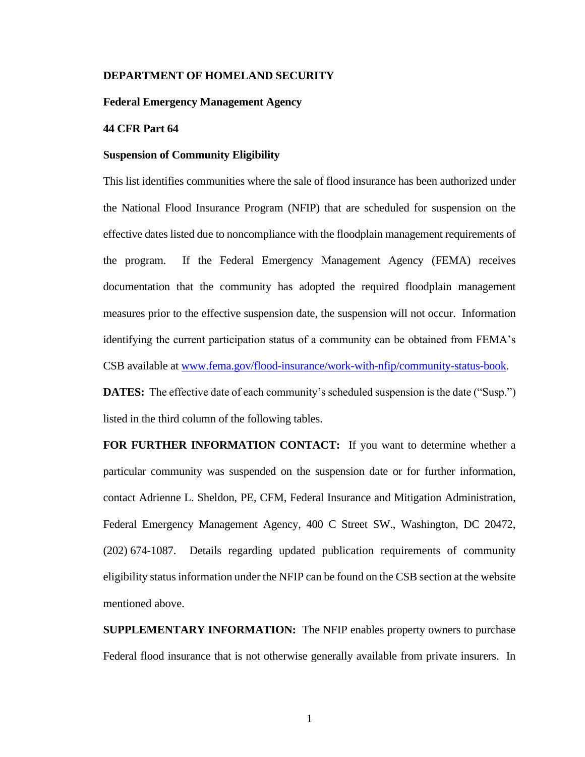## **DEPARTMENT OF HOMELAND SECURITY**

## **Federal Emergency Management Agency**

## **44 CFR Part 64**

#### **Suspension of Community Eligibility**

This list identifies communities where the sale of flood insurance has been authorized under the National Flood Insurance Program (NFIP) that are scheduled for suspension on the effective dates listed due to noncompliance with the floodplain management requirements of the program. If the Federal Emergency Management Agency (FEMA) receives documentation that the community has adopted the required floodplain management measures prior to the effective suspension date, the suspension will not occur. Information identifying the current participation status of a community can be obtained from FEMA's CSB available at [www.fema.gov/flood-insurance/work-with-nfip/community-status-book.](https://www.fema.gov/flood-insurance/work-with-nfip/community-status-book)

**DATES:** The effective date of each community's scheduled suspension is the date ("Susp.") listed in the third column of the following tables.

**FOR FURTHER INFORMATION CONTACT:** If you want to determine whether a particular community was suspended on the suspension date or for further information, contact Adrienne L. Sheldon, PE, CFM, Federal Insurance and Mitigation Administration, Federal Emergency Management Agency, 400 C Street SW., Washington, DC 20472, (202) 674-1087. Details regarding updated publication requirements of community eligibility status information under the NFIP can be found on the CSB section at the website mentioned above.

**SUPPLEMENTARY INFORMATION:** The NFIP enables property owners to purchase Federal flood insurance that is not otherwise generally available from private insurers. In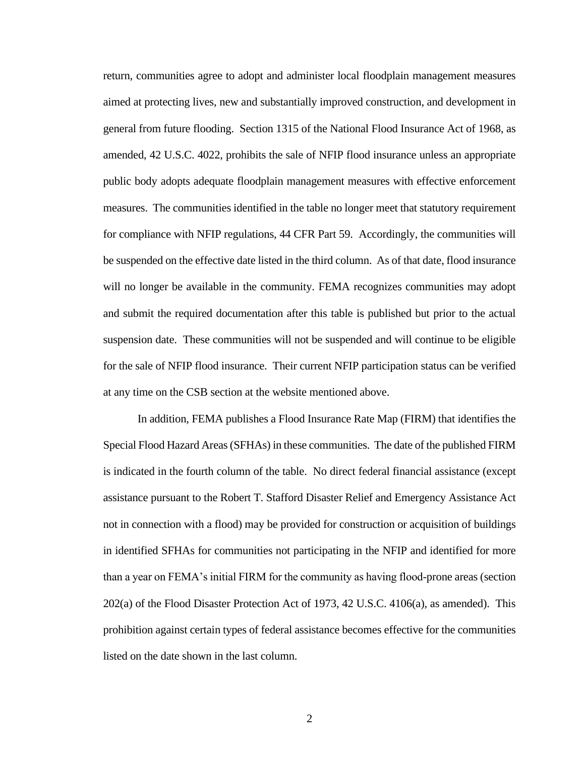return, communities agree to adopt and administer local floodplain management measures aimed at protecting lives, new and substantially improved construction, and development in general from future flooding. Section 1315 of the National Flood Insurance Act of 1968, as amended, 42 U.S.C. 4022, prohibits the sale of NFIP flood insurance unless an appropriate public body adopts adequate floodplain management measures with effective enforcement measures. The communities identified in the table no longer meet that statutory requirement for compliance with NFIP regulations, 44 CFR Part 59. Accordingly, the communities will be suspended on the effective date listed in the third column. As of that date, flood insurance will no longer be available in the community. FEMA recognizes communities may adopt and submit the required documentation after this table is published but prior to the actual suspension date. These communities will not be suspended and will continue to be eligible for the sale of NFIP flood insurance. Their current NFIP participation status can be verified at any time on the CSB section at the website mentioned above.

In addition, FEMA publishes a Flood Insurance Rate Map (FIRM) that identifies the Special Flood Hazard Areas (SFHAs) in these communities. The date of the published FIRM is indicated in the fourth column of the table. No direct federal financial assistance (except assistance pursuant to the Robert T. Stafford Disaster Relief and Emergency Assistance Act not in connection with a flood) may be provided for construction or acquisition of buildings in identified SFHAs for communities not participating in the NFIP and identified for more than a year on FEMA's initial FIRM for the community as having flood-prone areas (section 202(a) of the Flood Disaster Protection Act of 1973, 42 U.S.C. 4106(a), as amended). This prohibition against certain types of federal assistance becomes effective for the communities listed on the date shown in the last column.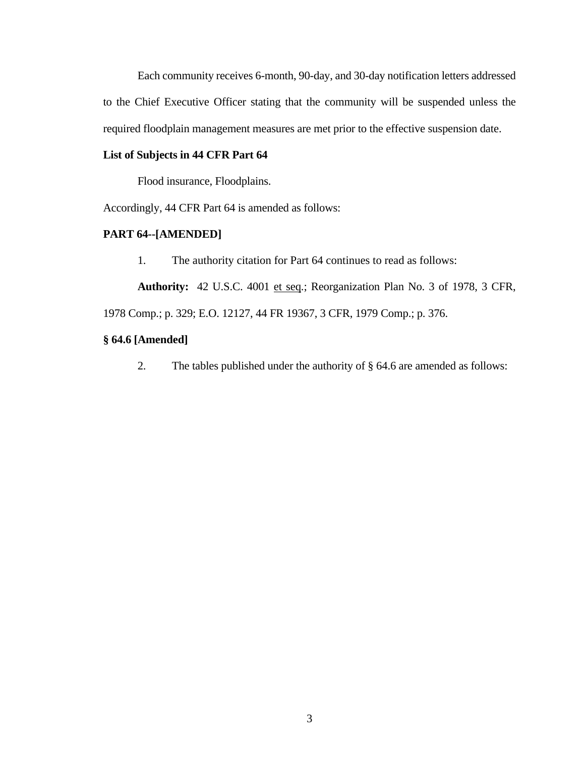Each community receives 6-month, 90-day, and 30-day notification letters addressed to the Chief Executive Officer stating that the community will be suspended unless the required floodplain management measures are met prior to the effective suspension date.

# **List of Subjects in 44 CFR Part 64**

Flood insurance, Floodplains.

Accordingly, 44 CFR Part 64 is amended as follows:

# **PART 64--[AMENDED]**

1. The authority citation for Part 64 continues to read as follows:

**Authority:** 42 U.S.C. 4001 et seq.; Reorganization Plan No. 3 of 1978, 3 CFR,

1978 Comp.; p. 329; E.O. 12127, 44 FR 19367, 3 CFR, 1979 Comp.; p. 376.

# **§ 64.6 [Amended]**

2. The tables published under the authority of § 64.6 are amended as follows: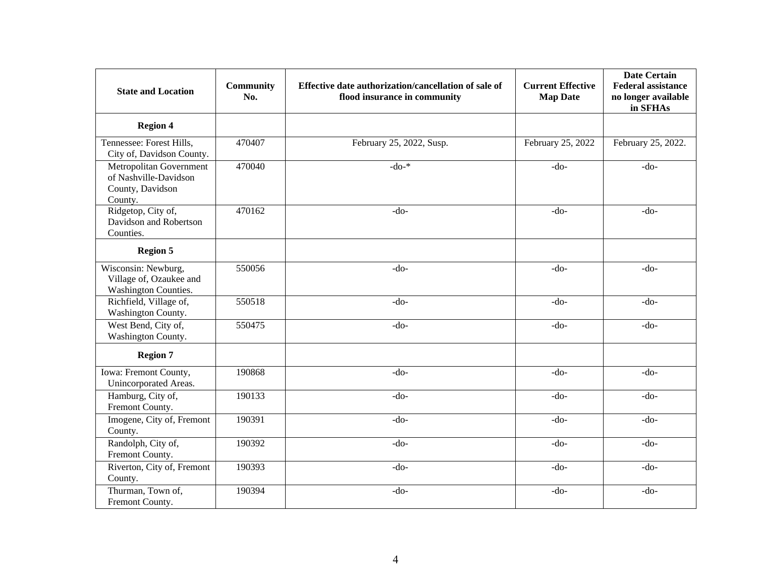| <b>State and Location</b>                                                       | <b>Community</b><br>No. | Effective date authorization/cancellation of sale of<br>flood insurance in community | <b>Current Effective</b><br><b>Map Date</b> | <b>Date Certain</b><br><b>Federal assistance</b><br>no longer available<br>in SFHAs |
|---------------------------------------------------------------------------------|-------------------------|--------------------------------------------------------------------------------------|---------------------------------------------|-------------------------------------------------------------------------------------|
| <b>Region 4</b>                                                                 |                         |                                                                                      |                                             |                                                                                     |
| Tennessee: Forest Hills,<br>City of, Davidson County.                           | 470407                  | February 25, 2022, Susp.                                                             | February 25, 2022                           | February 25, 2022.                                                                  |
| Metropolitan Government<br>of Nashville-Davidson<br>County, Davidson<br>County. | 470040                  | $-do-*$                                                                              | $-do-$                                      | $-do-$                                                                              |
| Ridgetop, City of,<br>Davidson and Robertson<br>Counties.                       | 470162                  | $-do-$                                                                               | $-do-$                                      | $-do-$                                                                              |
| <b>Region 5</b>                                                                 |                         |                                                                                      |                                             |                                                                                     |
| Wisconsin: Newburg,<br>Village of, Ozaukee and<br><b>Washington Counties.</b>   | 550056                  | $-do-$                                                                               | $-do-$                                      | $-do-$                                                                              |
| Richfield, Village of,<br>Washington County.                                    | 550518                  | $-do-$                                                                               | $-do-$                                      | $-do-$                                                                              |
| West Bend, City of,<br>Washington County.                                       | 550475                  | $-do-$                                                                               | $-do-$                                      | $-do-$                                                                              |
| <b>Region 7</b>                                                                 |                         |                                                                                      |                                             |                                                                                     |
| <b>Iowa:</b> Fremont County,<br>Unincorporated Areas.                           | 190868                  | $-do-$                                                                               | $-do-$                                      | $-do-$                                                                              |
| Hamburg, City of,<br>Fremont County.                                            | 190133                  | $-do-$                                                                               | $-do-$                                      | $-do-$                                                                              |
| Imogene, City of, Fremont<br>County.                                            | 190391                  | $-do-$                                                                               | $-do-$                                      | $-do-$                                                                              |
| Randolph, City of,<br>Fremont County.                                           | 190392                  | $-do-$                                                                               | $-do-$                                      | $-do-$                                                                              |
| Riverton, City of, Fremont<br>County.                                           | 190393                  | $-do-$                                                                               | $-do-$                                      | $-do-$                                                                              |
| Thurman, Town of,<br>Fremont County.                                            | 190394                  | $-do-$                                                                               | $-do-$                                      | $-do-$                                                                              |